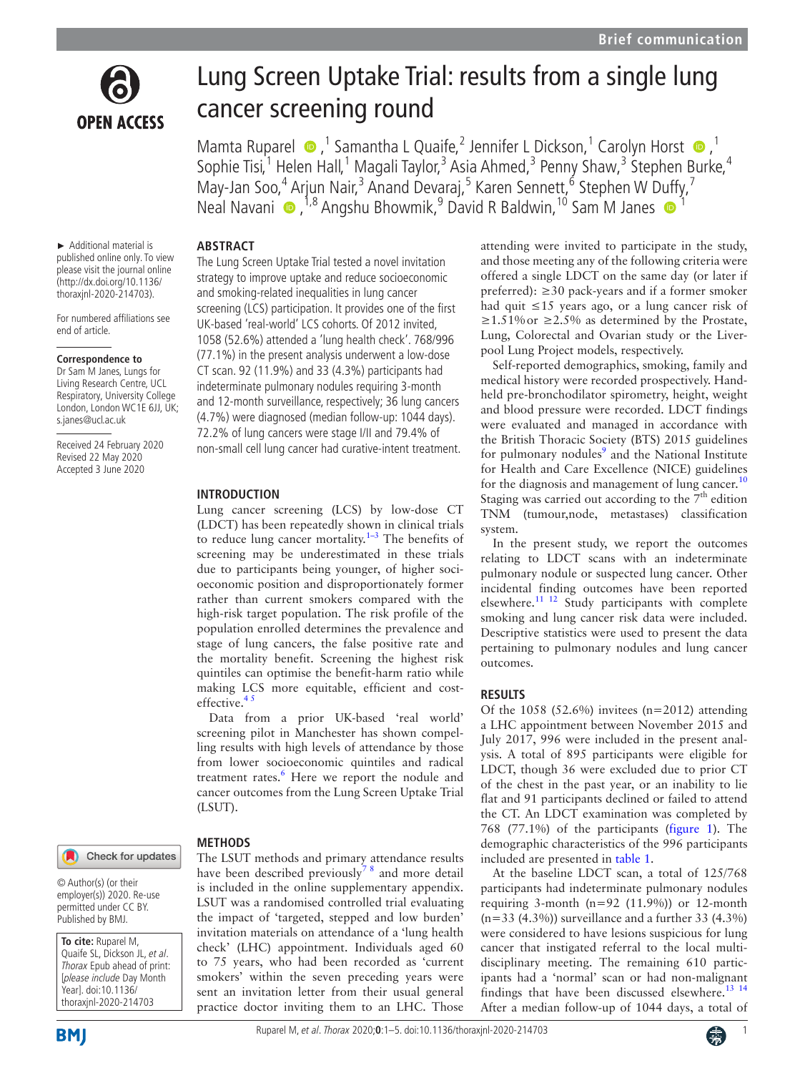

# Lung Screen Uptake Trial: results from a single lung cancer screening round

MamtaRuparel  $\bullet$ ,<sup>1</sup> Samantha L Quaife,<sup>2</sup> Jennifer L Dickson,<sup>1</sup> Carolyn Horst  $\bullet$ ,<sup>1</sup> Sophie Tisi,<sup>1</sup> Helen Hall,<sup>1</sup> Magali Taylor,<sup>3</sup> Asia Ahmed,<sup>3</sup> Penny Shaw,<sup>3</sup> Stephen Burke,<sup>4</sup> May-Jan Soo,<sup>4</sup> Arjun Nair,<sup>3</sup> Anand Devaraj,<sup>5</sup> Karen Sennett,<sup>6</sup> Stephen W D[uff](http://orcid.org/0000-0002-6634-5939)y,<sup>7</sup> NealNavani  $\bullet$ , <sup>1,8</sup> Angshu Bhowmik, <sup>9</sup> David R Baldwin, <sup>10</sup> Sam M Janes  $\bullet$  <sup>1</sup>

#### ► Additional material is published online only. To view please visit the journal online (http://dx.doi.org/10.1136/

**ABSTRACT**

**INTRODUCTION**

effective. $45$ 

(LSUT).

The Lung Screen Uptake Trial tested a novel invitation strategy to improve uptake and reduce socioeconomic and smoking-related inequalities in lung cancer screening (LCS) participation. It provides one of the first UK-based 'real-world' LCS cohorts. Of 2012 invited, 1058 (52.6%) attended a 'lung health check'. 768/996 (77.1%) in the present analysis underwent a low-dose CT scan. 92 (11.9%) and 33 (4.3%) participants had indeterminate pulmonary nodules requiring 3-month and 12-month surveillance, respectively; 36 lung cancers (4.7%) were diagnosed (median follow-up: 1044 days). 72.2% of lung cancers were stage I/II and 79.4% of non-small cell lung cancer had curative-intent treatment.

Lung cancer screening (LCS) by low-dose CT (LDCT) has been repeatedly shown in clinical trials to reduce lung cancer mortality.<sup>1-3</sup> The benefits of screening may be underestimated in these trials due to participants being younger, of higher socioeconomic position and disproportionately former rather than current smokers compared with the high-risk target population. The risk profile of the population enrolled determines the prevalence and stage of lung cancers, the false positive rate and the mortality benefit. Screening the highest risk quintiles can optimise the benefit-harm ratio while making LCS more equitable, efficient and cost-

Data from a prior UK-based 'real world' screening pilot in Manchester has shown compelling results with high levels of attendance by those from lower socioeconomic quintiles and radical treatment rates.<sup>[6](#page-4-2)</sup> Here we report the nodule and cancer outcomes from the Lung Screen Uptake Trial

have been described previously<sup>78</sup> and more detail is included in the [online supplementary appendix.](https://dx.doi.org/10.1136/thoraxjnl-2020-214703) LSUT was a randomised controlled trial evaluating the impact of 'targeted, stepped and low burden' invitation materials on attendance of a 'lung health check' (LHC) appointment. Individuals aged 60 to 75 years, who had been recorded as 'current smokers' within the seven preceding years were sent an invitation letter from their usual general practice doctor inviting them to an LHC. Those

For numbered affiliations see end of article.

thoraxjnl-2020-214703).

#### **Correspondence to**

Dr Sam M Janes, Lungs for Living Research Centre, UCL Respiratory, University College London, London WC1E 6JJ, UK; s.janes@ucl.ac.uk

Received 24 February 2020 Revised 22 May 2020 Accepted 3 June 2020



#### **METHODS** Check for updates The LSUT methods and primary attendance results

© Author(s) (or their employer(s)) 2020. Re-use permitted under CC BY. Published by BMJ.

**To cite:** Ruparel M, Quaife SL, Dickson JL, et al. Thorax Epub ahead of print: [please include Day Month Year]. doi:10.1136/ thoraxjnl-2020-214703



attending were invited to participate in the study, and those meeting any of the following criteria were offered a single LDCT on the same day (or later if preferred):  $\geq$ 30 pack-years and if a former smoker had quit ≤15 years ago, or a lung cancer risk of  $≥1.51\%$  or  $≥2.5\%$  as determined by the Prostate, Lung, Colorectal and Ovarian study or the Liverpool Lung Project models, respectively.

Self-reported demographics, smoking, family and medical history were recorded prospectively. Handheld pre-bronchodilator spirometry, height, weight and blood pressure were recorded. LDCT findings were evaluated and managed in accordance with the British Thoracic Society (BTS) 2015 guidelines for pulmonary nodules<sup>[9](#page-4-4)</sup> and the National Institute for Health and Care Excellence (NICE) guidelines for the diagnosis and management of lung cancer. $10$ Staging was carried out according to the  $7<sup>th</sup>$  edition TNM (tumour,node, metastases) classification system.

In the present study, we report the outcomes relating to LDCT scans with an indeterminate pulmonary nodule or suspected lung cancer. Other incidental finding outcomes have been reported elsewhere.[11 12](#page-4-6) Study participants with complete smoking and lung cancer risk data were included. Descriptive statistics were used to present the data pertaining to pulmonary nodules and lung cancer outcomes.

#### **RESULTS**

Of the 1058 (52.6%) invitees ( $n=2012$ ) attending a LHC appointment between November 2015 and July 2017, 996 were included in the present analysis. A total of 895 participants were eligible for LDCT, though 36 were excluded due to prior CT of the chest in the past year, or an inability to lie flat and 91 participants declined or failed to attend the CT. An LDCT examination was completed by 768 (77.1%) of the participants ([figure](#page-1-0) 1). The demographic characteristics of the 996 participants included are presented in [table](#page-2-0) 1.

At the baseline LDCT scan, a total of 125/768 participants had indeterminate pulmonary nodules requiring 3-month ( $n=92$  (11.9%)) or 12-month  $(n=33 (4.3\%))$  surveillance and a further 33 (4.3%) were considered to have lesions suspicious for lung cancer that instigated referral to the local multidisciplinary meeting. The remaining 610 participants had a 'normal' scan or had non-malignant findings that have been discussed elsewhere.<sup>[13 14](#page-4-7)</sup> After a median follow-up of 1044 days, a total of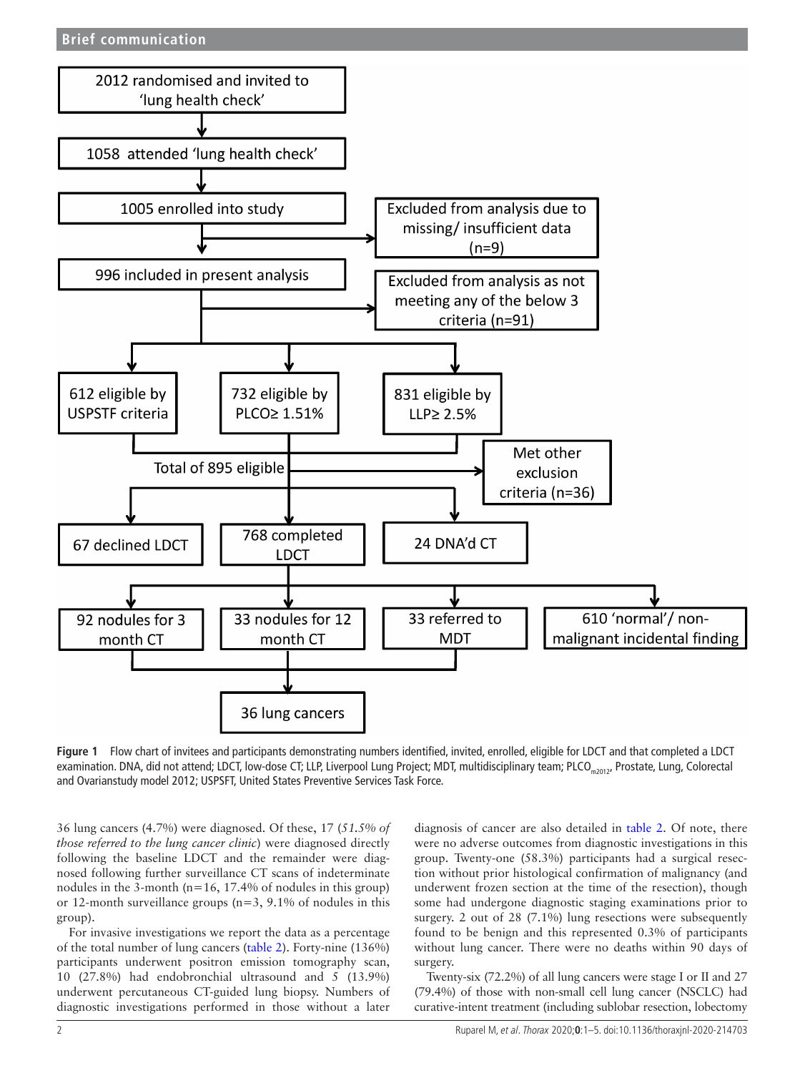

<span id="page-1-0"></span>**Figure 1** Flow chart of invitees and participants demonstrating numbers identified, invited, enrolled, eligible for LDCT and that completed a LDCT examination. DNA, did not attend; LDCT, low-dose CT; LLP, Liverpool Lung Project; MDT, multidisciplinary team; PLCO<sub>m2012</sub>, Prostate, Lung, Colorectal and Ovarianstudy model 2012; USPSFT, United States Preventive Services Task Force.

36 lung cancers (4.7%) were diagnosed. Of these, 17 (*51.5% of those referred to the lung cancer clinic*) were diagnosed directly following the baseline LDCT and the remainder were diagnosed following further surveillance CT scans of indeterminate nodules in the 3-month ( $n=16$ , 17.4% of nodules in this group) or 12-month surveillance groups (n=3, 9.1% of nodules in this group).

For invasive investigations we report the data as a percentage of the total number of lung cancers ([table](#page-3-0) 2). Forty-nine (136%) participants underwent positron emission tomography scan, 10 (27.8%) had endobronchial ultrasound and 5 (13.9%) underwent percutaneous CT-guided lung biopsy. Numbers of diagnostic investigations performed in those without a later

diagnosis of cancer are also detailed in [table](#page-3-0) 2. Of note, there were no adverse outcomes from diagnostic investigations in this group. Twenty-one (58.3%) participants had a surgical resection without prior histological confirmation of malignancy (and underwent frozen section at the time of the resection), though some had undergone diagnostic staging examinations prior to surgery. 2 out of 28 (7.1%) lung resections were subsequently found to be benign and this represented 0.3% of participants without lung cancer. There were no deaths within 90 days of surgery.

Twenty-six (72.2%) of all lung cancers were stage I or II and 27 (79.4%) of those with non-small cell lung cancer (NSCLC) had curative-intent treatment (including sublobar resection, lobectomy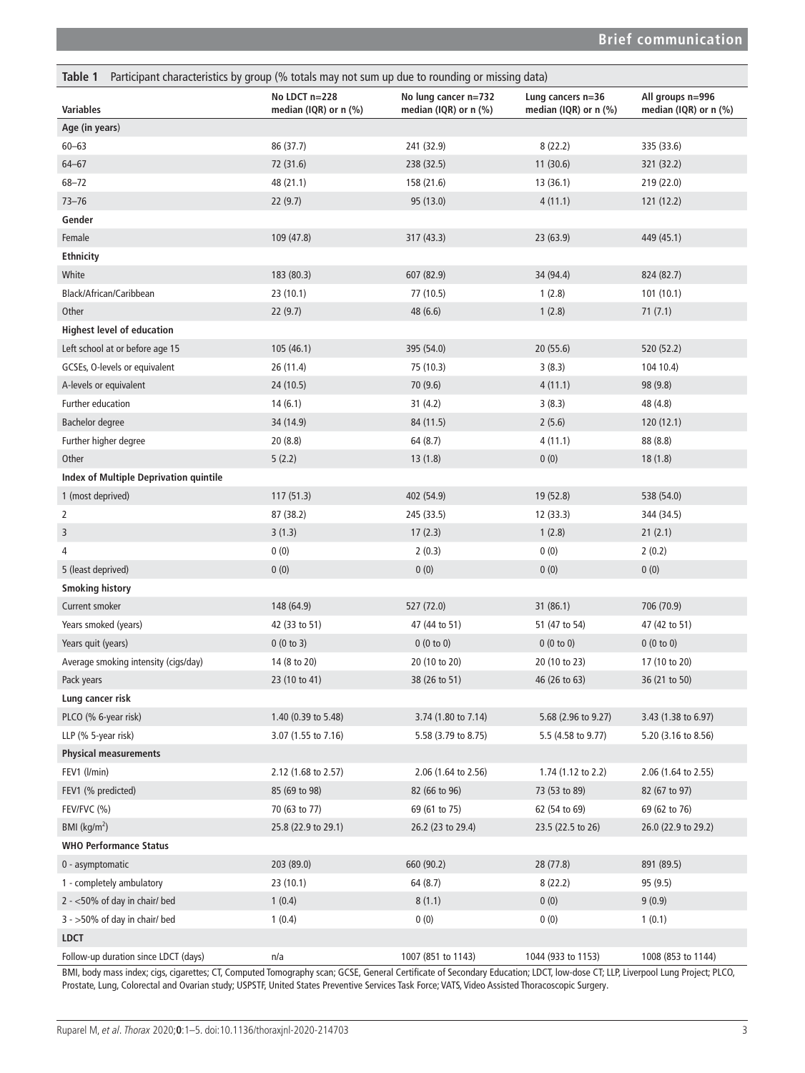<span id="page-2-0"></span>

| Table 1<br>Participant characteristics by group (% totals may not sum up due to rounding or missing data) |                                        |                                                 |                                            |                                           |  |  |
|-----------------------------------------------------------------------------------------------------------|----------------------------------------|-------------------------------------------------|--------------------------------------------|-------------------------------------------|--|--|
| <b>Variables</b>                                                                                          | No LDCT n=228<br>median (IQR) or n (%) | No lung cancer n=732<br>median (IQR) or $n$ (%) | Lung cancers n=36<br>median (IQR) or n (%) | All groups n=996<br>median (IQR) or n (%) |  |  |
| Age (in years)                                                                                            |                                        |                                                 |                                            |                                           |  |  |
| $60 - 63$                                                                                                 | 86 (37.7)                              | 241 (32.9)                                      | 8(22.2)                                    | 335 (33.6)                                |  |  |
| $64 - 67$                                                                                                 | 72 (31.6)                              | 238 (32.5)                                      | 11(30.6)                                   | 321 (32.2)                                |  |  |
| $68 - 72$                                                                                                 | 48 (21.1)                              | 158 (21.6)                                      | 13(36.1)                                   | 219 (22.0)                                |  |  |
| $73 - 76$                                                                                                 | 22(9.7)                                | 95 (13.0)                                       | 4(11.1)                                    | 121(12.2)                                 |  |  |
| Gender                                                                                                    |                                        |                                                 |                                            |                                           |  |  |
| Female                                                                                                    | 109 (47.8)                             | 317 (43.3)                                      | 23(63.9)                                   | 449 (45.1)                                |  |  |
| <b>Ethnicity</b>                                                                                          |                                        |                                                 |                                            |                                           |  |  |
| White                                                                                                     | 183 (80.3)                             | 607 (82.9)                                      | 34 (94.4)                                  | 824 (82.7)                                |  |  |
| Black/African/Caribbean                                                                                   | 23 (10.1)                              | 77 (10.5)                                       | 1(2.8)                                     | 101(10.1)                                 |  |  |
| Other                                                                                                     | 22(9.7)                                | 48 (6.6)                                        | 1(2.8)                                     | 71(7.1)                                   |  |  |
| <b>Highest level of education</b>                                                                         |                                        |                                                 |                                            |                                           |  |  |
| Left school at or before age 15                                                                           | 105 (46.1)                             | 395 (54.0)                                      | 20(55.6)                                   | 520 (52.2)                                |  |  |
| GCSEs, O-levels or equivalent                                                                             | 26 (11.4)                              | 75 (10.3)                                       | 3(8.3)                                     | 104 10.4)                                 |  |  |
| A-levels or equivalent                                                                                    | 24 (10.5)                              | 70(9.6)                                         | 4(11.1)                                    | 98 (9.8)                                  |  |  |
| Further education                                                                                         | 14(6.1)                                | 31(4.2)                                         | 3(8.3)                                     | 48 (4.8)                                  |  |  |
| <b>Bachelor degree</b>                                                                                    | 34 (14.9)                              | 84 (11.5)                                       | 2(5.6)                                     | 120(12.1)                                 |  |  |
| Further higher degree                                                                                     | 20(8.8)                                | 64 (8.7)                                        | 4(11.1)                                    | 88 (8.8)                                  |  |  |
| Other                                                                                                     | 5(2.2)                                 | 13(1.8)                                         | 0(0)                                       | 18(1.8)                                   |  |  |
| Index of Multiple Deprivation quintile                                                                    |                                        |                                                 |                                            |                                           |  |  |
| 1 (most deprived)                                                                                         | 117(51.3)                              | 402 (54.9)                                      | 19 (52.8)                                  | 538 (54.0)                                |  |  |
| $\overline{2}$                                                                                            | 87 (38.2)                              | 245 (33.5)                                      | 12 (33.3)                                  | 344 (34.5)                                |  |  |
| 3                                                                                                         | 3(1.3)                                 | 17(2.3)                                         | 1(2.8)                                     | 21(2.1)                                   |  |  |
| 4                                                                                                         | 0(0)                                   | 2(0.3)                                          | 0(0)                                       | 2(0.2)                                    |  |  |
| 5 (least deprived)                                                                                        | 0(0)                                   | 0(0)                                            | 0(0)                                       | 0(0)                                      |  |  |
| <b>Smoking history</b>                                                                                    |                                        |                                                 |                                            |                                           |  |  |
| Current smoker                                                                                            | 148 (64.9)                             | 527 (72.0)                                      | 31(86.1)                                   | 706 (70.9)                                |  |  |
| Years smoked (years)                                                                                      | 42 (33 to 51)                          | 47 (44 to 51)                                   | 51 (47 to 54)                              | 47 (42 to 51)                             |  |  |
| Years quit (years)                                                                                        | 0(0 to 3)                              | 0(0 to 0)                                       | 0(0 to 0)                                  | 0(0 to 0)                                 |  |  |
| Average smoking intensity (cigs/day)                                                                      | 14 (8 to 20)                           | 20 (10 to 20)                                   | 20 (10 to 23)                              | 17 (10 to 20)                             |  |  |
| Pack years                                                                                                | 23 (10 to 41)                          | 38 (26 to 51)                                   | 46 (26 to 63)                              | 36 (21 to 50)                             |  |  |
| Lung cancer risk                                                                                          |                                        |                                                 |                                            |                                           |  |  |
| PLCO (% 6-year risk)                                                                                      | 1.40 (0.39 to 5.48)                    | 3.74 (1.80 to 7.14)                             | 5.68 (2.96 to 9.27)                        | 3.43 (1.38 to 6.97)                       |  |  |
| LLP (% 5-year risk)                                                                                       | 3.07 (1.55 to 7.16)                    | 5.58 (3.79 to 8.75)                             | 5.5 (4.58 to 9.77)                         | 5.20 (3.16 to 8.56)                       |  |  |
| <b>Physical measurements</b>                                                                              |                                        |                                                 |                                            |                                           |  |  |
| FEV1 (l/min)                                                                                              | 2.12 (1.68 to 2.57)                    | 2.06 (1.64 to 2.56)                             | 1.74 (1.12 to 2.2)                         | 2.06 (1.64 to 2.55)                       |  |  |
| FEV1 (% predicted)                                                                                        | 85 (69 to 98)                          | 82 (66 to 96)                                   | 73 (53 to 89)                              | 82 (67 to 97)                             |  |  |
| FEV/FVC (%)                                                                                               | 70 (63 to 77)                          | 69 (61 to 75)                                   | 62 (54 to 69)                              | 69 (62 to 76)                             |  |  |
| BMI ( $\text{kg/m}^2$ )                                                                                   | 25.8 (22.9 to 29.1)                    | 26.2 (23 to 29.4)                               | 23.5 (22.5 to 26)                          | 26.0 (22.9 to 29.2)                       |  |  |
| <b>WHO Performance Status</b>                                                                             |                                        |                                                 |                                            |                                           |  |  |
| 0 - asymptomatic                                                                                          | 203(89.0)                              | 660 (90.2)                                      | 28 (77.8)                                  | 891 (89.5)                                |  |  |
| 1 - completely ambulatory                                                                                 | 23(10.1)                               | 64 (8.7)                                        | 8(22.2)                                    | 95(9.5)                                   |  |  |
| $2 - 50\%$ of day in chair/ bed                                                                           | 1(0.4)                                 | 8(1.1)                                          | 0(0)                                       | 9(0.9)                                    |  |  |
| $3 - 50\%$ of day in chair/ bed                                                                           | 1(0.4)                                 | 0(0)                                            | 0(0)                                       | 1(0.1)                                    |  |  |
| <b>LDCT</b>                                                                                               |                                        |                                                 |                                            |                                           |  |  |
| Follow-up duration since LDCT (days)                                                                      | n/a                                    | 1007 (851 to 1143)                              | 1044 (933 to 1153)                         | 1008 (853 to 1144)                        |  |  |

BMI, body mass index; cigs, cigarettes; CT, Computed Tomography scan; GCSE, General Certificate of Secondary Education; LDCT, low-dose CT; LLP, Liverpool Lung Project; PLCO, Prostate, Lung, Colorectal and Ovarian study; USPSTF, United States Preventive Services Task Force; VATS, Video Assisted Thoracoscopic Surgery.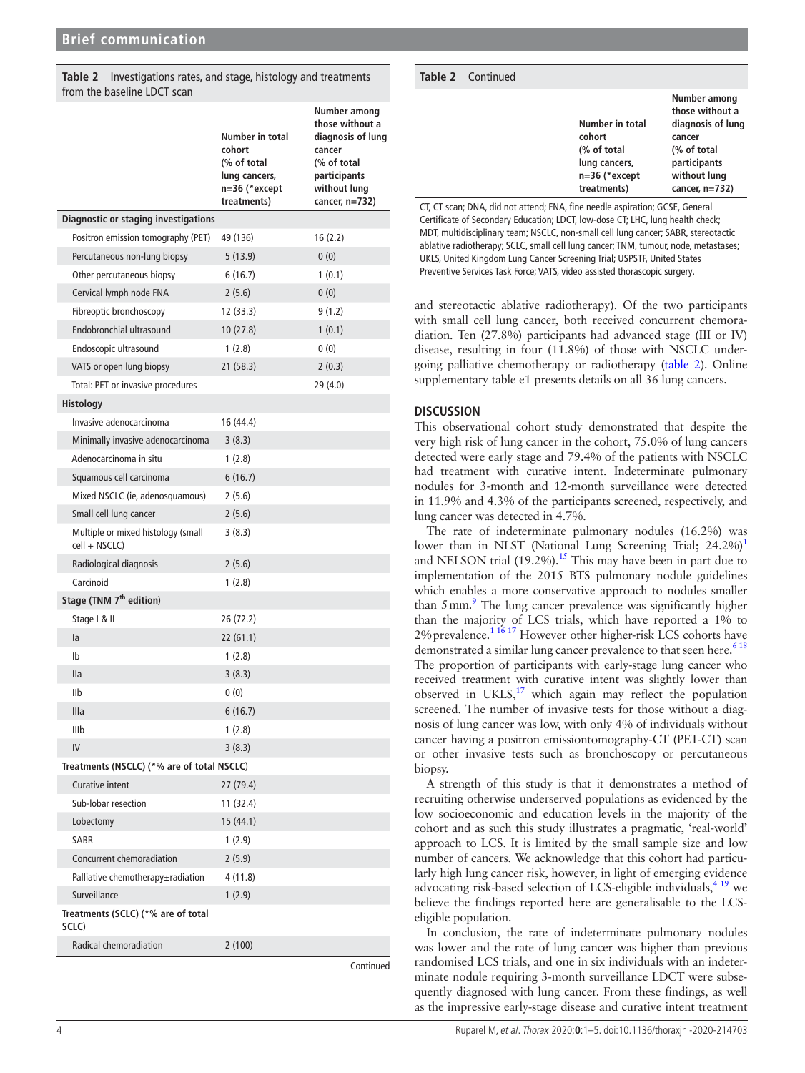<span id="page-3-0"></span>

|                             | <b>Table 2</b> Investigations rates, and stage, histology and treatments |
|-----------------------------|--------------------------------------------------------------------------|
| from the baseline LDCT scan |                                                                          |

|                                                     | Number in total<br>cohort<br>(% of total<br>lung cancers,<br>n=36 (*except<br>treatments) | Number among<br>those without a<br>diagnosis of lung<br>cancer<br>(% of total<br>participants<br>without lung<br>cancer, n=732) |
|-----------------------------------------------------|-------------------------------------------------------------------------------------------|---------------------------------------------------------------------------------------------------------------------------------|
| <b>Diagnostic or staging investigations</b>         |                                                                                           |                                                                                                                                 |
| Positron emission tomography (PET)                  | 49 (136)                                                                                  | 16 (2.2)                                                                                                                        |
| Percutaneous non-lung biopsy                        | 5 (13.9)                                                                                  | 0(0)                                                                                                                            |
| Other percutaneous biopsy                           | 6(16.7)                                                                                   | 1(0.1)                                                                                                                          |
| Cervical lymph node FNA                             | 2(5.6)                                                                                    | 0(0)                                                                                                                            |
| Fibreoptic bronchoscopy                             | 12 (33.3)                                                                                 | 9(1.2)                                                                                                                          |
| Endobronchial ultrasound                            | 10 (27.8)                                                                                 | 1(0.1)                                                                                                                          |
| Endoscopic ultrasound                               | 1(2.8)                                                                                    | 0(0)                                                                                                                            |
| VATS or open lung biopsy                            | 21(58.3)                                                                                  | 2(0.3)                                                                                                                          |
| Total: PET or invasive procedures                   |                                                                                           | 29 (4.0)                                                                                                                        |
| Histology                                           |                                                                                           |                                                                                                                                 |
| Invasive adenocarcinoma                             | 16 (44.4)                                                                                 |                                                                                                                                 |
| Minimally invasive adenocarcinoma                   | 3(8.3)                                                                                    |                                                                                                                                 |
| Adenocarcinoma in situ                              | 1(2.8)                                                                                    |                                                                                                                                 |
| Squamous cell carcinoma                             | 6(16.7)                                                                                   |                                                                                                                                 |
| Mixed NSCLC (ie, adenosquamous)                     | 2(5.6)                                                                                    |                                                                                                                                 |
| Small cell lung cancer                              | 2(5.6)                                                                                    |                                                                                                                                 |
| Multiple or mixed histology (small<br>cell + NSCLC) | 3(8.3)                                                                                    |                                                                                                                                 |
| Radiological diagnosis                              | 2(5.6)                                                                                    |                                                                                                                                 |
| Carcinoid                                           | 1(2.8)                                                                                    |                                                                                                                                 |
| Stage (TNM 7 <sup>th</sup> edition)                 |                                                                                           |                                                                                                                                 |
| Stage   & II                                        | 26 (72.2)                                                                                 |                                                                                                                                 |
| la                                                  | 22(61.1)                                                                                  |                                                                                                                                 |
| Ib                                                  | 1(2.8)                                                                                    |                                                                                                                                 |
| <b>Ila</b>                                          | 3(8.3)                                                                                    |                                                                                                                                 |
| IIb                                                 | 0(0)                                                                                      |                                                                                                                                 |
| Illa                                                | 6(16.7)                                                                                   |                                                                                                                                 |
| IIIb                                                | 1(2.8)                                                                                    |                                                                                                                                 |
| IV                                                  | 3(8.3)                                                                                    |                                                                                                                                 |
| Treatments (NSCLC) (*% are of total NSCLC)          |                                                                                           |                                                                                                                                 |
| Curative intent                                     | 27 (79.4)                                                                                 |                                                                                                                                 |
| Sub-lobar resection                                 | 11 (32.4)                                                                                 |                                                                                                                                 |
| Lobectomy                                           | 15 (44.1)                                                                                 |                                                                                                                                 |
| <b>SABR</b>                                         | 1(2.9)                                                                                    |                                                                                                                                 |
| Concurrent chemoradiation                           | 2(5.9)                                                                                    |                                                                                                                                 |
| Palliative chemotherapy±radiation                   | 4 (11.8)                                                                                  |                                                                                                                                 |
| Surveillance                                        | 1(2.9)                                                                                    |                                                                                                                                 |
| Treatments (SCLC) (*% are of total<br>SCLC)         |                                                                                           |                                                                                                                                 |
| Radical chemoradiation                              | 2(100)                                                                                    |                                                                                                                                 |
|                                                     |                                                                                           | Continued                                                                                                                       |

| <b>Table 2</b> Continued |                                                                                             |                                                                                                                                    |
|--------------------------|---------------------------------------------------------------------------------------------|------------------------------------------------------------------------------------------------------------------------------------|
|                          | Number in total<br>cohort<br>(% of total<br>lung cancers,<br>$n=36$ (*except<br>treatments) | Number among<br>those without a<br>diagnosis of lung<br>cancer<br>(% of total<br>participants<br>without lung<br>cancer, $n=732$ ) |
|                          | CT CT scap: DNA, did not attend: ENA, fine needle aspiration: CCCE, Conoral                 |                                                                                                                                    |

CT, CT scan; DNA, did not attend; FNA, fine needle aspiration; GCSE, General Certificate of Secondary Education; LDCT, low-dose CT; LHC, lung health check; MDT, multidisciplinary team; NSCLC, non-small cell lung cancer; SABR, stereotactic ablative radiotherapy; SCLC, small cell lung cancer; TNM, tumour, node, metastases; UKLS, United Kingdom Lung Cancer Screening Trial; USPSTF, United States Preventive Services Task Force; VATS, video assisted thorascopic surgery.

and stereotactic ablative radiotherapy). Of the two participants with small cell lung cancer, both received concurrent chemoradiation. Ten (27.8%) participants had advanced stage (III or IV) disease, resulting in four (11.8%) of those with NSCLC undergoing palliative chemotherapy or radiotherapy ([table](#page-3-0) 2). [Online](https://dx.doi.org/10.1136/thoraxjnl-2020-214703) [supplementary table e1](https://dx.doi.org/10.1136/thoraxjnl-2020-214703) presents details on all 36 lung cancers.

## **DISCUSSION**

This observational cohort study demonstrated that despite the very high risk of lung cancer in the cohort, 75.0% of lung cancers detected were early stage and 79.4% of the patients with NSCLC had treatment with curative intent. Indeterminate pulmonary nodules for 3-month and 12-month surveillance were detected in 11.9% and 4.3% of the participants screened, respectively, and lung cancer was detected in 4.7%.

The rate of indeterminate pulmonary nodules (16.2%) was lower than in NLST (National Lung Screening Trial;  $24.2\%$ )<sup>[1](#page-4-0)</sup> and NELSON trial  $(19.2\%)$ .<sup>[15](#page-4-8)</sup> This may have been in part due to implementation of the 2015 BTS pulmonary nodule guidelines which enables a more conservative approach to nodules smaller than 5 mm.<sup>9</sup> The lung cancer prevalence was significantly higher than the majority of LCS trials, which have reported a 1% to 2% prevalence.<sup>[1 16 17](#page-4-0)</sup> However other higher-risk LCS cohorts have demonstrated a similar lung cancer prevalence to that seen here.<sup>618</sup> The proportion of participants with early-stage lung cancer who received treatment with curative intent was slightly lower than observed in UKLS, $^{17}$  $^{17}$  $^{17}$  which again may reflect the population screened. The number of invasive tests for those without a diagnosis of lung cancer was low, with only 4% of individuals without cancer having a positron emissiontomography-CT (PET-CT) scan or other invasive tests such as bronchoscopy or percutaneous biopsy.

A strength of this study is that it demonstrates a method of recruiting otherwise underserved populations as evidenced by the low socioeconomic and education levels in the majority of the cohort and as such this study illustrates a pragmatic, 'real-world' approach to LCS. It is limited by the small sample size and low number of cancers. We acknowledge that this cohort had particularly high lung cancer risk, however, in light of emerging evidence advocating risk-based selection of LCS-eligible individuals, $4^{4}$  we believe the findings reported here are generalisable to the LCSeligible population.

In conclusion, the rate of indeterminate pulmonary nodules was lower and the rate of lung cancer was higher than previous randomised LCS trials, and one in six individuals with an indeterminate nodule requiring 3-month surveillance LDCT were subsequently diagnosed with lung cancer. From these findings, as well as the impressive early-stage disease and curative intent treatment